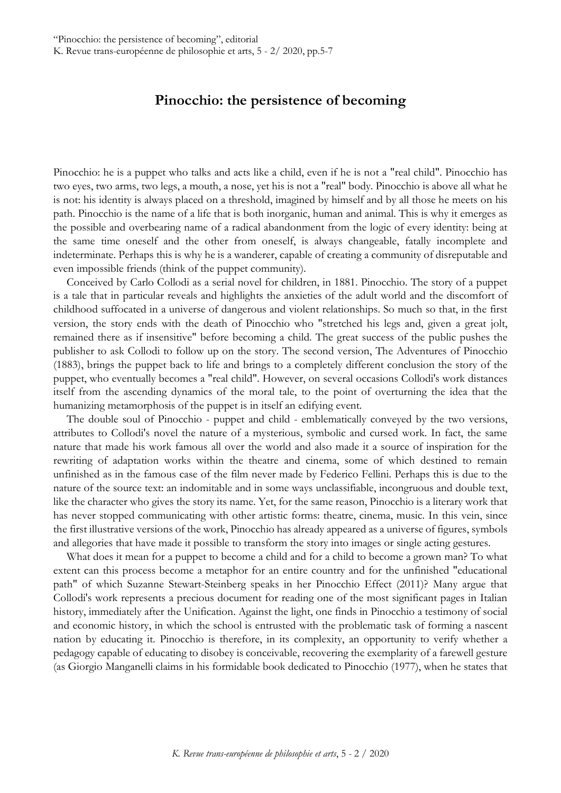## **Pinocchio: the persistence of becoming**

Pinocchio: he is a puppet who talks and acts like a child, even if he is not a "real child". Pinocchio has two eyes, two arms, two legs, a mouth, a nose, yet his is not a "real" body. Pinocchio is above all what he is not: his identity is always placed on a threshold, imagined by himself and by all those he meets on his path. Pinocchio is the name of a life that is both inorganic, human and animal. This is why it emerges as the possible and overbearing name of a radical abandonment from the logic of every identity: being at the same time oneself and the other from oneself, is always changeable, fatally incomplete and indeterminate. Perhaps this is why he is a wanderer, capable of creating a community of disreputable and even impossible friends (think of the puppet community).

Conceived by Carlo Collodi as a serial novel for children, in 1881. Pinocchio. The story of a puppet is a tale that in particular reveals and highlights the anxieties of the adult world and the discomfort of childhood suffocated in a universe of dangerous and violent relationships. So much so that, in the first version, the story ends with the death of Pinocchio who "stretched his legs and, given a great jolt, remained there as if insensitive" before becoming a child. The great success of the public pushes the publisher to ask Collodi to follow up on the story. The second version, The Adventures of Pinocchio (1883), brings the puppet back to life and brings to a completely different conclusion the story of the puppet, who eventually becomes a "real child". However, on several occasions Collodi's work distances itself from the ascending dynamics of the moral tale, to the point of overturning the idea that the humanizing metamorphosis of the puppet is in itself an edifying event.

The double soul of Pinocchio - puppet and child - emblematically conveyed by the two versions, attributes to Collodi's novel the nature of a mysterious, symbolic and cursed work. In fact, the same nature that made his work famous all over the world and also made it a source of inspiration for the rewriting of adaptation works within the theatre and cinema, some of which destined to remain unfinished as in the famous case of the film never made by Federico Fellini. Perhaps this is due to the nature of the source text: an indomitable and in some ways unclassifiable, incongruous and double text, like the character who gives the story its name. Yet, for the same reason, Pinocchio is a literary work that has never stopped communicating with other artistic forms: theatre, cinema, music. In this vein, since the first illustrative versions of the work, Pinocchio has already appeared as a universe of figures, symbols and allegories that have made it possible to transform the story into images or single acting gestures.

What does it mean for a puppet to become a child and for a child to become a grown man? To what extent can this process become a metaphor for an entire country and for the unfinished "educational path" of which Suzanne Stewart-Steinberg speaks in her Pinocchio Effect (2011)? Many argue that Collodi's work represents a precious document for reading one of the most significant pages in Italian history, immediately after the Unification. Against the light, one finds in Pinocchio a testimony of social and economic history, in which the school is entrusted with the problematic task of forming a nascent nation by educating it. Pinocchio is therefore, in its complexity, an opportunity to verify whether a pedagogy capable of educating to disobey is conceivable, recovering the exemplarity of a farewell gesture (as Giorgio Manganelli claims in his formidable book dedicated to Pinocchio (1977), when he states that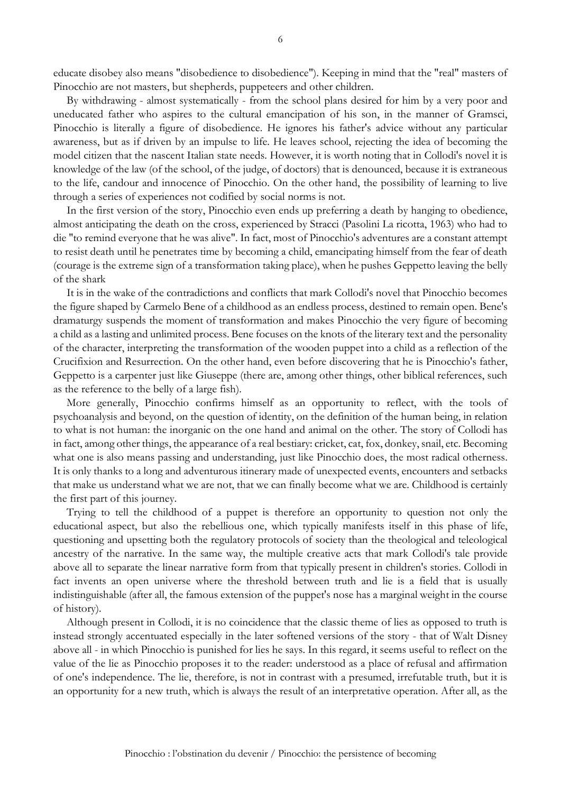educate disobey also means "disobedience to disobedience"). Keeping in mind that the "real" masters of Pinocchio are not masters, but shepherds, puppeteers and other children.

By withdrawing - almost systematically - from the school plans desired for him by a very poor and uneducated father who aspires to the cultural emancipation of his son, in the manner of Gramsci, Pinocchio is literally a figure of disobedience. He ignores his father's advice without any particular awareness, but as if driven by an impulse to life. He leaves school, rejecting the idea of becoming the model citizen that the nascent Italian state needs. However, it is worth noting that in Collodi's novel it is knowledge of the law (of the school, of the judge, of doctors) that is denounced, because it is extraneous to the life, candour and innocence of Pinocchio. On the other hand, the possibility of learning to live through a series of experiences not codified by social norms is not.

In the first version of the story, Pinocchio even ends up preferring a death by hanging to obedience, almost anticipating the death on the cross, experienced by Stracci (Pasolini La ricotta, 1963) who had to die "to remind everyone that he was alive". In fact, most of Pinocchio's adventures are a constant attempt to resist death until he penetrates time by becoming a child, emancipating himself from the fear of death (courage is the extreme sign of a transformation taking place), when he pushes Geppetto leaving the belly of the shark

It is in the wake of the contradictions and conflicts that mark Collodi's novel that Pinocchio becomes the figure shaped by Carmelo Bene of a childhood as an endless process, destined to remain open. Bene's dramaturgy suspends the moment of transformation and makes Pinocchio the very figure of becoming a child as a lasting and unlimited process. Bene focuses on the knots of the literary text and the personality of the character, interpreting the transformation of the wooden puppet into a child as a reflection of the Crucifixion and Resurrection. On the other hand, even before discovering that he is Pinocchio's father, Geppetto is a carpenter just like Giuseppe (there are, among other things, other biblical references, such as the reference to the belly of a large fish).

More generally, Pinocchio confirms himself as an opportunity to reflect, with the tools of psychoanalysis and beyond, on the question of identity, on the definition of the human being, in relation to what is not human: the inorganic on the one hand and animal on the other. The story of Collodi has in fact, among other things, the appearance of a real bestiary: cricket, cat, fox, donkey, snail, etc. Becoming what one is also means passing and understanding, just like Pinocchio does, the most radical otherness. It is only thanks to a long and adventurous itinerary made of unexpected events, encounters and setbacks that make us understand what we are not, that we can finally become what we are. Childhood is certainly the first part of this journey.

Trying to tell the childhood of a puppet is therefore an opportunity to question not only the educational aspect, but also the rebellious one, which typically manifests itself in this phase of life, questioning and upsetting both the regulatory protocols of society than the theological and teleological ancestry of the narrative. In the same way, the multiple creative acts that mark Collodi's tale provide above all to separate the linear narrative form from that typically present in children's stories. Collodi in fact invents an open universe where the threshold between truth and lie is a field that is usually indistinguishable (after all, the famous extension of the puppet's nose has a marginal weight in the course of history).

Although present in Collodi, it is no coincidence that the classic theme of lies as opposed to truth is instead strongly accentuated especially in the later softened versions of the story - that of Walt Disney above all - in which Pinocchio is punished for lies he says. In this regard, it seems useful to reflect on the value of the lie as Pinocchio proposes it to the reader: understood as a place of refusal and affirmation of one's independence. The lie, therefore, is not in contrast with a presumed, irrefutable truth, but it is an opportunity for a new truth, which is always the result of an interpretative operation. After all, as the